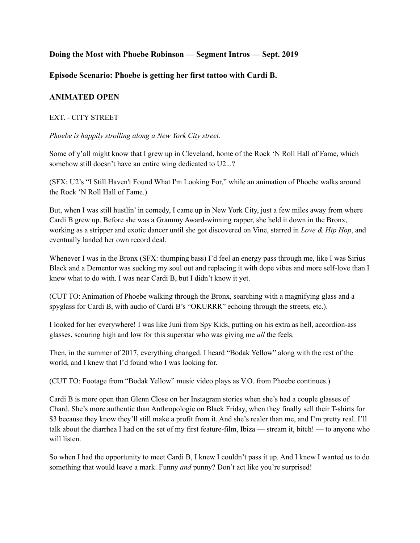# **Doing the Most with Phoebe Robinson — Segment Intros — Sept. 2019**

## **Episode Scenario: Phoebe is getting her first tattoo with Cardi B.**

## **ANIMATED OPEN**

### EXT. - CITY STREET

*Phoebe is happily strolling along a New York City street.*

Some of y'all might know that I grew up in Cleveland, home of the Rock 'N Roll Hall of Fame, which somehow still doesn't have an entire wing dedicated to U2...?

(SFX: U2's "I Still Haven't Found What I'm Looking For," while an animation of Phoebe walks around the Rock 'N Roll Hall of Fame.)

But, when I was still hustlin' in comedy, I came up in New York City, just a few miles away from where Cardi B grew up. Before she was a Grammy Award-winning rapper, she held it down in the Bronx, working as a stripper and exotic dancer until she got discovered on Vine, starred in *Love & Hip Hop*, and eventually landed her own record deal.

Whenever I was in the Bronx (SFX: thumping bass) I'd feel an energy pass through me, like I was Sirius Black and a Dementor was sucking my soul out and replacing it with dope vibes and more self-love than I knew what to do with. I was near Cardi B, but I didn't know it yet.

(CUT TO: Animation of Phoebe walking through the Bronx, searching with a magnifying glass and a spyglass for Cardi B, with audio of Cardi B's "OKURRR" echoing through the streets, etc.).

I looked for her everywhere! I was like Juni from Spy Kids, putting on his extra as hell, accordion-ass glasses, scouring high and low for this superstar who was giving me *all* the feels.

Then, in the summer of 2017, everything changed. I heard "Bodak Yellow" along with the rest of the world, and I knew that I'd found who I was looking for.

(CUT TO: Footage from "Bodak Yellow" music video plays as V.O. from Phoebe continues.)

Cardi B is more open than Glenn Close on her Instagram stories when she's had a couple glasses of Chard. She's more authentic than Anthropologie on Black Friday, when they finally sell their T-shirts for \$3 because they know they'll still make a profit from it. And she's realer than me, and I'm pretty real. I'll talk about the diarrhea I had on the set of my first feature-film, Ibiza — stream it, bitch! — to anyone who will listen.

So when I had the opportunity to meet Cardi B, I knew I couldn't pass it up. And I knew I wanted us to do something that would leave a mark. Funny *and* punny? Don't act like you're surprised!